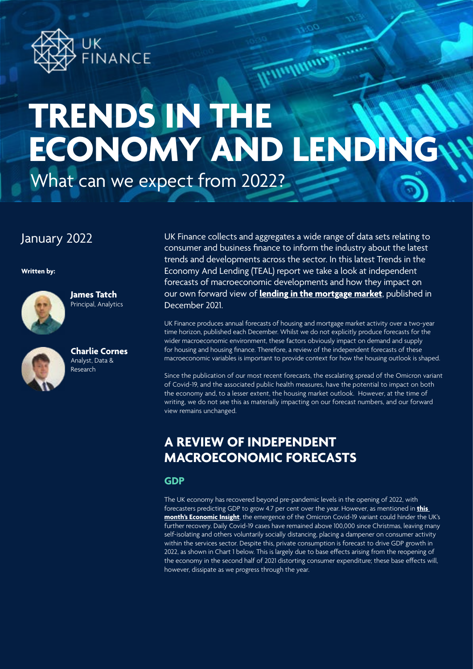

# What can we expect from 2022? **TRENDS IN THE ECONOMY AND LENDING**

# January 2022

**Written by:**



**James Tatch** Principal, Analytics



**Charlie Cornes** Analyst, Data & Research

UK Finance collects and aggregates a wide range of data sets relating to consumer and business finance to inform the industry about the latest trends and developments across the sector. In this latest Trends in the Economy And Lending (TEAL) report we take a look at independent forecasts of macroeconomic developments and how they impact on our own forward view of **[lending in the mortgage market](https://www.ukfinance.org.uk/data-and-research/data/mortgage-market-forecasts)**, published in December 2021.

Windham

UK Finance produces annual forecasts of housing and mortgage market activity over a two-year time horizon, published each December. Whilst we do not explicitly produce forecasts for the wider macroeconomic environment, these factors obviously impact on demand and supply for housing and housing finance. Therefore, a review of the independent forecasts of these macroeconomic variables is important to provide context for how the housing outlook is shaped.

Since the publication of our most recent forecasts, the escalating spread of the Omicron variant of Covid-19, and the associated public health measures, have the potential to impact on both the economy and, to a lesser extent, the housing market outlook. However, at the time of writing, we do not see this as materially impacting on our forecast numbers, and our forward view remains unchanged.

# **A REVIEW OF INDEPENDENT MACROECONOMIC FORECASTS**

**GDP**

The UK economy has recovered beyond pre-pandemic levels in the opening of 2022, with forecasters predicting GDP to grow 4.7 per cent over the year. However, as mentioned in **[this](https://www.ukfinance.org.uk/system/files/Monthly Economic Insight - January 2022.pdf)  [month's Economic Insight](https://www.ukfinance.org.uk/system/files/Monthly Economic Insight - January 2022.pdf)**, the emergence of the Omicron Covid-19 variant could hinder the UK's further recovery. Daily Covid-19 cases have remained above 100,000 since Christmas, leaving many self-isolating and others voluntarily socially distancing, placing a dampener on consumer activity within the services sector. Despite this, private consumption is forecast to drive GDP growth in 2022, as shown in Chart 1 below. This is largely due to base effects arising from the reopening of the economy in the second half of 2021 distorting consumer expenditure; these base effects will, however, dissipate as we progress through the year.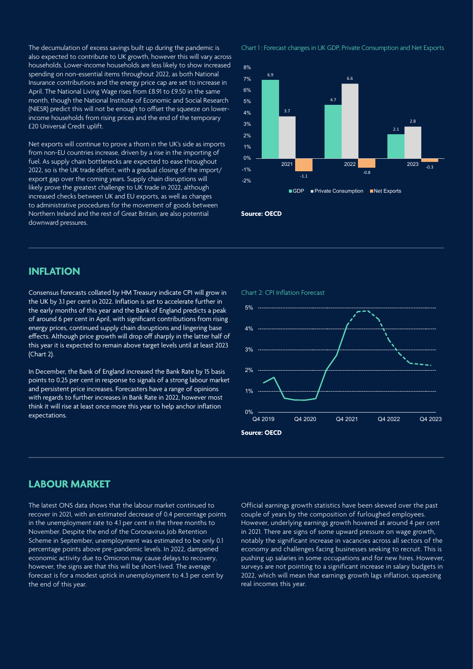The decumulation of excess savings built up during the pandemic is also expected to contribute to UK growth, however this will vary across households. Lower-income households are less likely to show increased spending on non-essential items throughout 2022, as both National Insurance contributions and the energy price cap are set to increase in April. The National Living Wage rises from £8.91 to £9.50 in the same month, though the National Institute of Economic and Social Research (NIESR) predict this will not be enough to offset the squeeze on lowerincome households from rising prices and the end of the temporary £20 Universal Credit uplift.

Net exports will continue to prove a thorn in the UK's side as imports from non-EU countries increase, driven by a rise in the importing of fuel. As supply chain bottlenecks are expected to ease throughout 2022, so is the UK trade deficit, with a gradual closing of the import/ export gap over the coming years. Supply chain disruptions will likely prove the greatest challenge to UK trade in 2022, although increased checks between UK and EU exports, as well as changes to administrative procedures for the movement of goods between Northern Ireland and the rest of Great Britain, are also potential downward pressures.

Chart 1 : Forecast changes in UK GDP, Private Consumption and Net Exports



#### **Source: OECD**

#### **INFLATION**

Consensus forecasts collated by HM Treasury indicate CPI will grow in the UK by 3.1 per cent in 2022. Inflation is set to accelerate further in the early months of this year and the Bank of England predicts a peak of around 6 per cent in April, with significant contributions from rising energy prices, continued supply chain disruptions and lingering base effects. Although price growth will drop off sharply in the latter half of this year it is expected to remain above target levels until at least 2023 (Chart 2).

In December, the Bank of England increased the Bank Rate by 15 basis points to 0.25 per cent in response to signals of a strong labour market and persistent price increases. Forecasters have a range of opinions with regards to further increases in Bank Rate in 2022, however most think it will rise at least once more this year to help anchor inflation expectations.

#### Chart 2: CPI Inflation Forecast



### **LABOUR MARKET**

The latest ONS data shows that the labour market continued to recover in 2021, with an estimated decrease of 0.4 percentage points in the unemployment rate to 4.1 per cent in the three months to November. Despite the end of the Coronavirus Job Retention Scheme in September, unemployment was estimated to be only 0.1 percentage points above pre-pandemic levels. In 2022, dampened economic activity due to Omicron may cause delays to recovery, however, the signs are that this will be short-lived. The average forecast is for a modest uptick in unemployment to 4.3 per cent by the end of this year.

Official earnings growth statistics have been skewed over the past couple of years by the composition of furloughed employees. However, underlying earnings growth hovered at around 4 per cent in 2021. There are signs of some upward pressure on wage growth, notably the significant increase in vacancies across all sectors of the economy and challenges facing businesses seeking to recruit. This is pushing up salaries in some occupations and for new hires. However, surveys are not pointing to a significant increase in salary budgets in 2022, which will mean that earnings growth lags inflation, squeezing real incomes this year.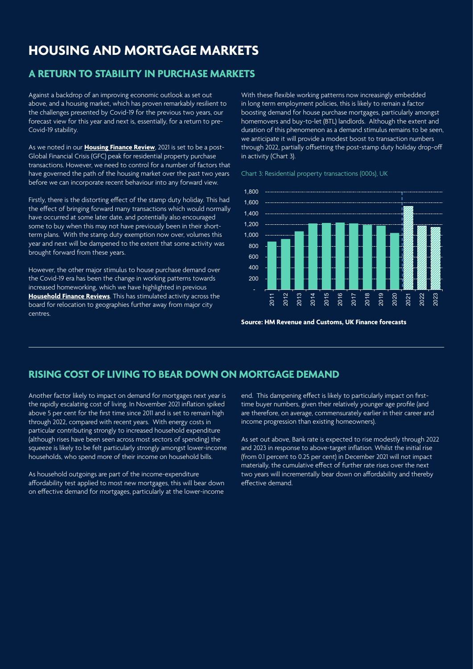## **HOUSING AND MORTGAGE MARKETS**

## **A RETURN TO STABILITY IN PURCHASE MARKETS**

Against a backdrop of an improving economic outlook as set out above, and a housing market, which has proven remarkably resilient to the challenges presented by Covid-19 for the previous two years, our forecast view for this year and next is, essentially, for a return to pre-Covid-19 stability.

As we noted in our **[Housing Finance Review](https://www.ukfinance.org.uk/data-and-research/data/household-finance/household-finance-review)**, 2021 is set to be a post-Global Financial Crisis (GFC) peak for residential property purchase transactions. However, we need to control for a number of factors that have governed the path of the housing market over the past two years before we can incorporate recent behaviour into any forward view.

Firstly, there is the distorting effect of the stamp duty holiday. This had the effect of bringing forward many transactions which would normally have occurred at some later date, and potentially also encouraged some to buy when this may not have previously been in their shortterm plans. With the stamp duty exemption now over, volumes this year and next will be dampened to the extent that some activity was brought forward from these years.

However, the other major stimulus to house purchase demand over the Covid-19 era has been the change in working patterns towards increased homeworking, which we have highlighted in previous **[Household Finance Reviews](https://www.ukfinance.org.uk/data-and-research/data/household-finance/household-finance-review)**. This has stimulated activity across the board for relocation to geographies further away from major city centres.

With these flexible working patterns now increasingly embedded in long term employment policies, this is likely to remain a factor boosting demand for house purchase mortgages, particularly amongst homemovers and buy-to-let (BTL) landlords. Although the extent and duration of this phenomenon as a demand stimulus remains to be seen, we anticipate it will provide a modest boost to transaction numbers through 2022, partially offsetting the post-stamp duty holiday drop-off in activity (Chart 3).

Chart 3: Residential property transactions (000s), UK



**Source: HM Revenue and Customs, UK Finance forecasts**

## **RISING COST OF LIVING TO BEAR DOWN ON MORTGAGE DEMAND**

Another factor likely to impact on demand for mortgages next year is the rapidly escalating cost of living. In November 2021 inflation spiked above 5 per cent for the first time since 2011 and is set to remain high through 2022, compared with recent years. With energy costs in particular contributing strongly to increased household expenditure (although rises have been seen across most sectors of spending) the squeeze is likely to be felt particularly strongly amongst lower-income households, who spend more of their income on household bills.

As household outgoings are part of the income-expenditure affordability test applied to most new mortgages, this will bear down on effective demand for mortgages, particularly at the lower-income

end. This dampening effect is likely to particularly impact on firsttime buyer numbers, given their relatively younger age profile (and are therefore, on average, commensurately earlier in their career and income progression than existing homeowners).

As set out above, Bank rate is expected to rise modestly through 2022 and 2023 in response to above-target inflation. Whilst the initial rise (from 0.1 percent to 0.25 per cent) in December 2021 will not impact materially, the cumulative effect of further rate rises over the next two years will incrementally bear down on affordability and thereby effective demand.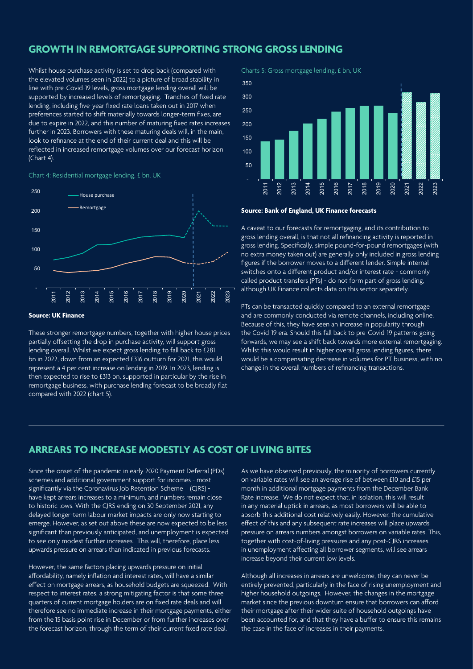#### **GROWTH IN REMORTGAGE SUPPORTING STRONG GROSS LENDING**

Whilst house purchase activity is set to drop back (compared with the elevated volumes seen in 2022) to a picture of broad stability in line with pre-Covid-19 levels, gross mortgage lending overall will be supported by increased levels of remortgaging. Tranches of fixed rate lending, including five-year fixed rate loans taken out in 2017 when preferences started to shift materially towards longer-term fixes, are due to expire in 2022, and this number of maturing fixed rates increases further in 2023. Borrowers with these maturing deals will, in the main, look to refinance at the end of their current deal and this will be reflected in increased remortgage volumes over our forecast horizon (Chart 4).

#### Chart 4: Residential mortgage lending, £ bn, UK



#### **Source: UK Finance**

These stronger remortgage numbers, together with higher house prices partially offsetting the drop in purchase activity, will support gross lending overall. Whilst we expect gross lending to fall back to £281 bn in 2022, down from an expected £316 outturn for 2021, this would represent a 4 per cent increase on lending in 2019. In 2023, lending is then expected to rise to £313 bn, supported in particular by the rise in remortgage business, with purchase lending forecast to be broadly flat compared with 2022 (chart 5).

Charts 5: Gross mortgage lending, £ bn, UK



#### **Source: Bank of England, UK Finance forecasts**

A caveat to our forecasts for remortgaging, and its contribution to gross lending overall, is that not all refinancing activity is reported in gross lending. Specifically, simple pound-for-pound remortgages (with no extra money taken out) are generally only included in gross lending figures if the borrower moves to a different lender. Simple internal switches onto a different product and/or interest rate - commonly called product transfers (PTs) - do not form part of gross lending, although UK Finance collects data on this sector separately.

PTs can be transacted quickly compared to an external remortgage and are commonly conducted via remote channels, including online. Because of this, they have seen an increase in popularity through the Covid-19 era. Should this fall back to pre-Covid-19 patterns going forwards, we may see a shift back towards more external remortgaging. Whilst this would result in higher overall gross lending figures, there would be a compensating decrease in volumes for PT business, with no change in the overall numbers of refinancing transactions.

## **ARREARS TO INCREASE MODESTLY AS COST OF LIVING BITES**

Since the onset of the pandemic in early 2020 Payment Deferral (PDs) schemes and additional government support for incomes - most significantly via the Coronavirus Job Retention Scheme – (CJRS) have kept arrears increases to a minimum, and numbers remain close to historic lows. With the CJRS ending on 30 September 2021, any delayed longer-term labour market impacts are only now starting to emerge. However, as set out above these are now expected to be less significant than previously anticipated, and unemployment is expected to see only modest further increases. This will, therefore, place less upwards pressure on arrears than indicated in previous forecasts.

However, the same factors placing upwards pressure on initial affordability, namely inflation and interest rates, will have a similar effect on mortgage arrears, as household budgets are squeezed. With respect to interest rates, a strong mitigating factor is that some three quarters of current mortgage holders are on fixed rate deals and will therefore see no immediate increase in their mortgage payments, either from the 15 basis point rise in December or from further increases over the forecast horizon, through the term of their current fixed rate deal.

As we have observed previously, the minority of borrowers currently on variable rates will see an average rise of between £10 and £15 per month in additional mortgage payments from the December Bank Rate increase. We do not expect that, in isolation, this will result in any material uptick in arrears, as most borrowers will be able to absorb this additional cost relatively easily. However, the cumulative effect of this and any subsequent rate increases will place upwards pressure on arrears numbers amongst borrowers on variable rates. This, together with cost-of-living pressures and any post-CJRS increases in unemployment affecting all borrower segments, will see arrears increase beyond their current low levels.

Although all increases in arrears are unwelcome, they can never be entirely prevented, particularly in the face of rising unemployment and higher household outgoings. However, the changes in the mortgage market since the previous downturn ensure that borrowers can afford their mortgage after their wider suite of household outgoings have been accounted for, and that they have a buffer to ensure this remains the case in the face of increases in their payments.